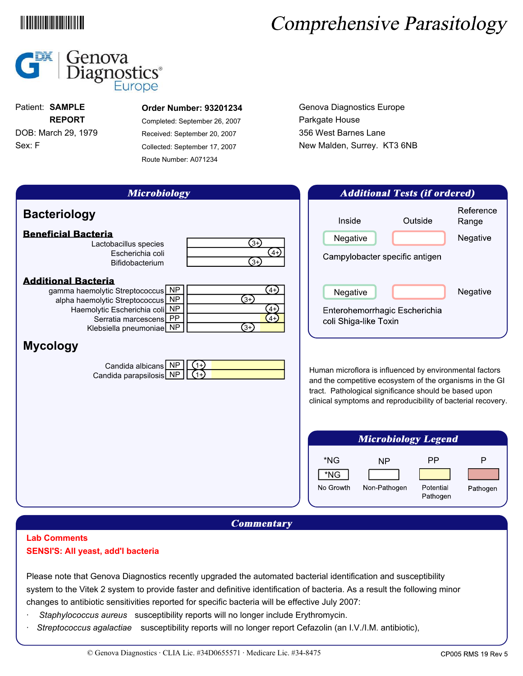### 

# Comprehensive Parasitology



Sex: F DOB: March 29, 1979 **REPORT** Patient: **SAMPLE**

#### **Order Number: 93201234**

Completed: September 26, 2007 Received: September 20, 2007 Collected: September 17, 2007 Route Number: A071234

Genova Diagnostics Europe Parkgate House 356 West Barnes Lane New Malden, Surrey. KT3 6NB

| <b>Microbiology</b>                                                                                                                                                                                                                                                                                                                 | <b>Additional Tests (if ordered)</b>                                                                                                                                                                                                                                                                                           |  |  |
|-------------------------------------------------------------------------------------------------------------------------------------------------------------------------------------------------------------------------------------------------------------------------------------------------------------------------------------|--------------------------------------------------------------------------------------------------------------------------------------------------------------------------------------------------------------------------------------------------------------------------------------------------------------------------------|--|--|
| <b>Bacteriology</b><br><b>Beneficial Bacteria</b><br>(3+)<br>Lactobacillus species<br>(4+)<br>Escherichia coli<br>$(3+)$<br>Bifidobacterium                                                                                                                                                                                         | Reference<br>Inside<br>Outside<br>Range<br>Negative<br>Negative<br>Campylobacter specific antigen                                                                                                                                                                                                                              |  |  |
| <b>Additional Bacteria</b><br>(4+)<br>gamma haemolytic Streptococcus NP<br><b>3+)</b><br>NP<br>alpha haemolytic Streptococcus<br>Haemolytic Escherichia coli NP<br>$4+$<br>$4+$<br>Serratia marcescens PP<br>ঞ<br>Klebsiella pneumoniae NP<br><b>Mycology</b><br>Candida albicans NP<br>$(1+)$<br>Candida parapsilosis NP<br>$(1+)$ | Negative<br>Negative<br>Enterohemorrhagic Escherichia<br>coli Shiga-like Toxin<br>Human microflora is influenced by environmental factors<br>and the competitive ecosystem of the organisms in the GI<br>tract. Pathological significance should be based upon<br>clinical symptoms and reproducibility of bacterial recovery. |  |  |
|                                                                                                                                                                                                                                                                                                                                     | <b>Microbiology Legend</b>                                                                                                                                                                                                                                                                                                     |  |  |
|                                                                                                                                                                                                                                                                                                                                     | *NG<br><b>PP</b><br>P<br><b>NP</b><br>*NG<br>No Growth<br>Non-Pathogen<br>Potential<br>Pathogen<br>Pathogen                                                                                                                                                                                                                    |  |  |
| $\boldsymbol{C}$ ammantarv                                                                                                                                                                                                                                                                                                          |                                                                                                                                                                                                                                                                                                                                |  |  |

#### **Lab Comments SENSI'S: All yeast, add'l bacteria**

Please note that Genova Diagnostics recently upgraded the automated bacterial identification and susceptibility system to the Vitek 2 system to provide faster and definitive identification of bacteria. As a result the following minor changes to antibiotic sensitivities reported for specific bacteria will be effective July 2007:

- · *Staphylococcus aureus* susceptibility reports will no longer include Erythromycin.
- · *Streptococcus agalactiae* susceptibility reports will no longer report Cefazolin (an I.V./I.M. antibiotic),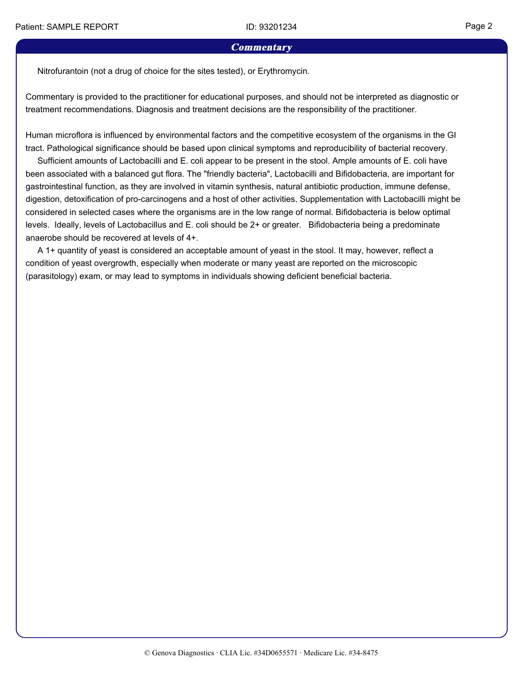#### **Commentary**

Nitrofurantoin (not a drug of choice for the sites tested), or Erythromycin.

Commentary is provided to the practitioner for educational purposes, and should not be interpreted as diagnostic or treatment recommendations. Diagnosis and treatment decisions are the responsibility of the practitioner.

Human microflora is influenced by environmental factors and the competitive ecosystem of the organisms in the GI tract. Pathological significance should be based upon clinical symptoms and reproducibility of bacterial recovery.

 Sufficient amounts of Lactobacilli and E. coli appear to be present in the stool. Ample amounts of E. coli have been associated with a balanced gut flora. The "friendly bacteria", Lactobacilli and Bifidobacteria, are important for gastrointestinal function, as they are involved in vitamin synthesis, natural antibiotic production, immune defense, digestion, detoxification of pro-carcinogens and a host of other activities. Supplementation with Lactobacilli might be considered in selected cases where the organisms are in the low range of normal. Bifidobacteria is below optimal levels. Ideally, levels of Lactobacillus and E. coli should be 2+ or greater. Bifidobacteria being a predominate anaerobe should be recovered at levels of 4+.

 A 1+ quantity of yeast is considered an acceptable amount of yeast in the stool. It may, however, reflect a condition of yeast overgrowth, especially when moderate or many yeast are reported on the microscopic (parasitology) exam, or may lead to symptoms in individuals showing deficient beneficial bacteria.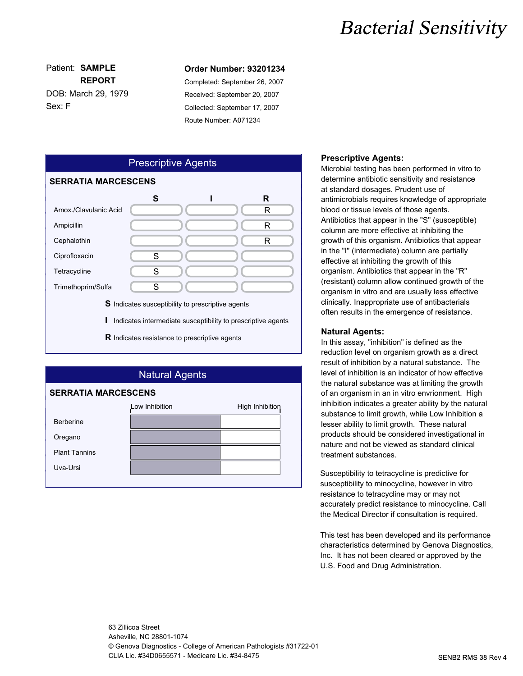## **Bacterial Sensitivity**

Sex: F DOB: March 29, 1979 **REPORT**

#### Patient: **SAMPLE Order Number: 93201234**

Completed: September 26, 2007 Received: September 20, 2007 Collected: September 17, 2007 Route Number: A071234



### Natural Agents **SERRATIA MARCESCENS** Low Inhibition **High Inhibition** Berberine Oregano Plant Tannins Uva-Ursi

#### **Prescriptive Agents:**

Microbial testing has been performed in vitro to determine antibiotic sensitivity and resistance at standard dosages. Prudent use of antimicrobials requires knowledge of appropriate blood or tissue levels of those agents. Antibiotics that appear in the "S" (susceptible) column are more effective at inhibiting the growth of this organism. Antibiotics that appear in the "I" (intermediate) column are partially effective at inhibiting the growth of this organism. Antibiotics that appear in the "R" (resistant) column allow continued growth of the organism in vitro and are usually less effective clinically. Inappropriate use of antibacterials often results in the emergence of resistance.

#### **Natural Agents:**

In this assay, "inhibition" is defined as the reduction level on organism growth as a direct result of inhibition by a natural substance. The level of inhibition is an indicator of how effective the natural substance was at limiting the growth of an organism in an in vitro envrionment. High inhibition indicates a greater ability by the natural substance to limit growth, while Low Inhibition a lesser ability to limit growth. These natural products should be considered investigational in nature and not be viewed as standard clinical treatment substances.

Susceptibility to tetracycline is predictive for susceptibility to minocycline, however in vitro resistance to tetracycline may or may not accurately predict resistance to minocycline. Call the Medical Director if consultation is required.

This test has been developed and its performance characteristics determined by Genova Diagnostics, Inc. It has not been cleared or approved by the U.S. Food and Drug Administration.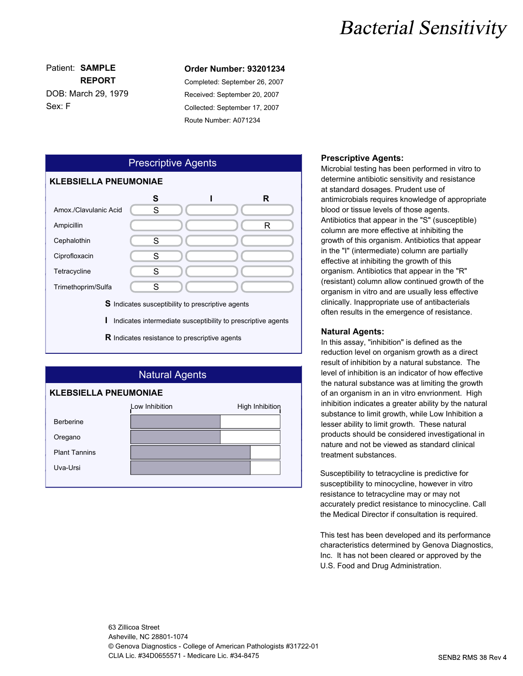## **Bacterial Sensitivity**

Sex: F DOB: March 29, 1979 **REPORT**

#### Patient: **SAMPLE Order Number: 93201234**

Completed: September 26, 2007 Received: September 20, 2007 Collected: September 17, 2007 Route Number: A071234



### Natural Agents **KLEBSIELLA PNEUMONIAE** Low Inhibition **High Inhibition** Berberine Oregano Plant Tannins Uva-Ursi

#### **Prescriptive Agents:**

Microbial testing has been performed in vitro to determine antibiotic sensitivity and resistance at standard dosages. Prudent use of antimicrobials requires knowledge of appropriate blood or tissue levels of those agents. Antibiotics that appear in the "S" (susceptible) column are more effective at inhibiting the growth of this organism. Antibiotics that appear in the "I" (intermediate) column are partially effective at inhibiting the growth of this organism. Antibiotics that appear in the "R" (resistant) column allow continued growth of the organism in vitro and are usually less effective clinically. Inappropriate use of antibacterials often results in the emergence of resistance.

#### **Natural Agents:**

In this assay, "inhibition" is defined as the reduction level on organism growth as a direct result of inhibition by a natural substance. The level of inhibition is an indicator of how effective the natural substance was at limiting the growth of an organism in an in vitro envrionment. High inhibition indicates a greater ability by the natural substance to limit growth, while Low Inhibition a lesser ability to limit growth. These natural products should be considered investigational in nature and not be viewed as standard clinical treatment substances.

Susceptibility to tetracycline is predictive for susceptibility to minocycline, however in vitro resistance to tetracycline may or may not accurately predict resistance to minocycline. Call the Medical Director if consultation is required.

This test has been developed and its performance characteristics determined by Genova Diagnostics, Inc. It has not been cleared or approved by the U.S. Food and Drug Administration.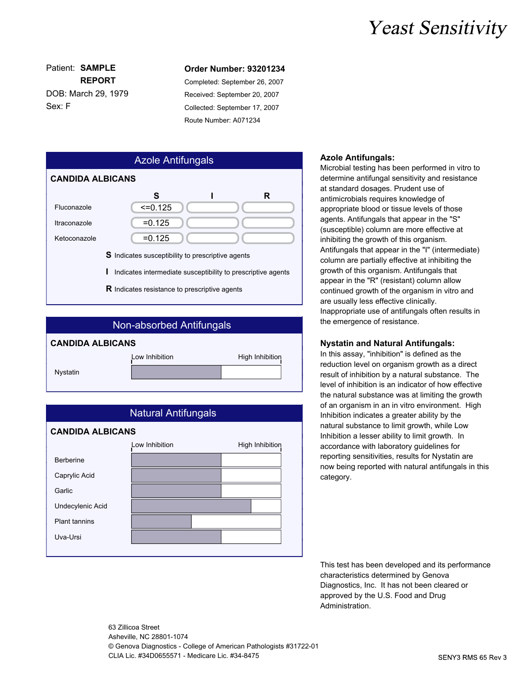### **Yeast Sensitivity**

Sex: F DOB: March 29, 1979 **REPORT**

#### Patient: **SAMPLE Order Number: 93201234**

Completed: September 26, 2007 Received: September 20, 2007 Collected: September 17, 2007 Route Number: A071234

| <b>Azole Antifungals</b>                                          |  |           |  |   |  |  |  |
|-------------------------------------------------------------------|--|-----------|--|---|--|--|--|
| <b>CANDIDA ALBICANS</b>                                           |  |           |  |   |  |  |  |
|                                                                   |  | S         |  | R |  |  |  |
| Fluconazole                                                       |  | $=0.125$  |  |   |  |  |  |
| Itraconazole                                                      |  | $= 0.125$ |  |   |  |  |  |
| Ketoconazole                                                      |  | $= 0.125$ |  |   |  |  |  |
| <b>S</b> Indicates susceptibility to prescriptive agents          |  |           |  |   |  |  |  |
| ı<br>Indicates intermediate susceptibility to prescriptive agents |  |           |  |   |  |  |  |
| <b>R</b> Indicates resistance to prescriptive agents              |  |           |  |   |  |  |  |

| Non-absorbed Antifungals |                |                 |  |  |  |  |  |  |
|--------------------------|----------------|-----------------|--|--|--|--|--|--|
| <b>CANDIDA ALBICANS</b>  |                |                 |  |  |  |  |  |  |
|                          | Low Inhibition | High Inhibition |  |  |  |  |  |  |
| Nystatin                 |                |                 |  |  |  |  |  |  |
|                          |                |                 |  |  |  |  |  |  |



#### **Azole Antifungals:**

Microbial testing has been performed in vitro to determine antifungal sensitivity and resistance at standard dosages. Prudent use of antimicrobials requires knowledge of appropriate blood or tissue levels of those agents. Antifungals that appear in the "S" (susceptible) column are more effective at inhibiting the growth of this organism. Antifungals that appear in the "I" (intermediate) column are partially effective at inhibiting the growth of this organism. Antifungals that appear in the "R" (resistant) column allow continued growth of the organism in vitro and are usually less effective clinically. Inappropriate use of antifungals often results in the emergence of resistance.

#### **Nystatin and Natural Antifungals:**

In this assay, "inhibition" is defined as the reduction level on organism growth as a direct result of inhibition by a natural substance. The level of inhibition is an indicator of how effective the natural substance was at limiting the growth of an organism in an in vitro environment. High Inhibition indicates a greater ability by the natural substance to limit growth, while Low Inhibition a lesser ability to limit growth. In accordance with laboratory guidelines for reporting sensitivities, results for Nystatin are now being reported with natural antifungals in this category.

This test has been developed and its performance characteristics determined by Genova Diagnostics, Inc. It has not been cleared or approved by the U.S. Food and Drug Administration.

63 Zillicoa Street Asheville, NC 28801-1074 © Genova Diagnostics - College of American Pathologists #31722-01 CLIA Lic. #34D0655571 - Medicare Lic. #34-8475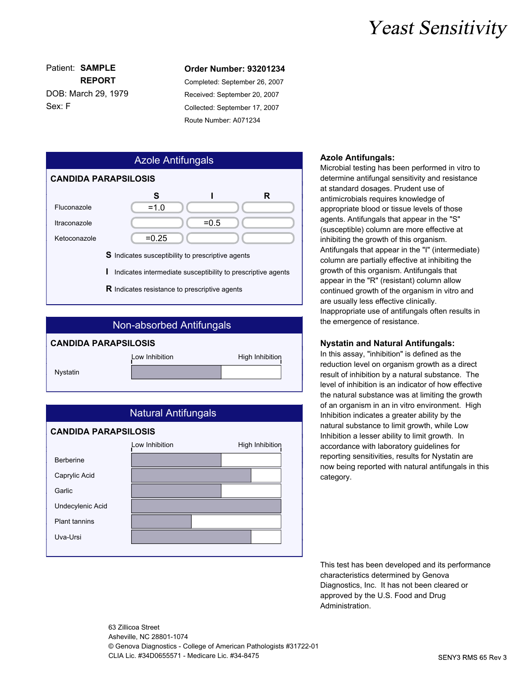### **Yeast Sensitivity**

Sex: F DOB: March 29, 1979 **REPORT**

#### Patient: **SAMPLE Order Number: 93201234**

Completed: September 26, 2007 Received: September 20, 2007 Collected: September 17, 2007 Route Number: A071234







#### **Azole Antifungals:**

Microbial testing has been performed in vitro to determine antifungal sensitivity and resistance at standard dosages. Prudent use of antimicrobials requires knowledge of appropriate blood or tissue levels of those agents. Antifungals that appear in the "S" (susceptible) column are more effective at inhibiting the growth of this organism. Antifungals that appear in the "I" (intermediate) column are partially effective at inhibiting the growth of this organism. Antifungals that appear in the "R" (resistant) column allow continued growth of the organism in vitro and are usually less effective clinically. Inappropriate use of antifungals often results in the emergence of resistance.

#### **Nystatin and Natural Antifungals:**

In this assay, "inhibition" is defined as the reduction level on organism growth as a direct result of inhibition by a natural substance. The level of inhibition is an indicator of how effective the natural substance was at limiting the growth of an organism in an in vitro environment. High Inhibition indicates a greater ability by the natural substance to limit growth, while Low Inhibition a lesser ability to limit growth. In accordance with laboratory guidelines for reporting sensitivities, results for Nystatin are now being reported with natural antifungals in this category.

This test has been developed and its performance characteristics determined by Genova Diagnostics, Inc. It has not been cleared or approved by the U.S. Food and Drug Administration.

63 Zillicoa Street Asheville, NC 28801-1074 © Genova Diagnostics - College of American Pathologists #31722-01 CLIA Lic. #34D0655571 - Medicare Lic. #34-8475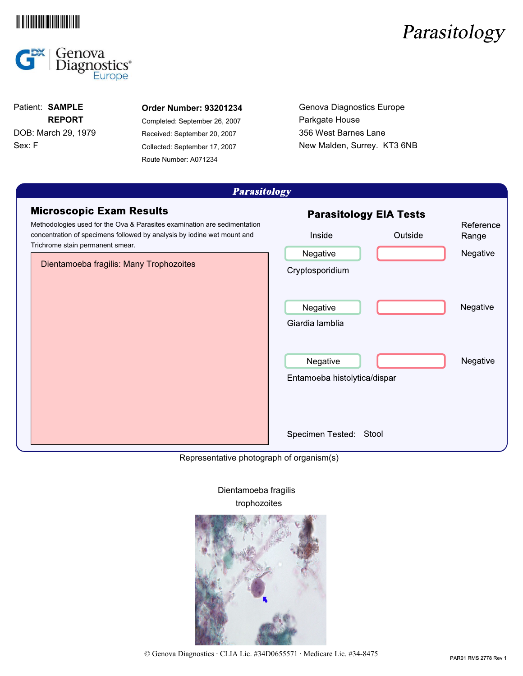





Sex: F DOB: March 29, 1979 **REPORT**

#### Patient: **SAMPLE Order Number: 93201234**

Completed: September 26, 2007 Received: September 20, 2007 Collected: September 17, 2007 Route Number: A071234

Genova Diagnostics Europe Parkgate House 356 West Barnes Lane New Malden, Surrey. KT3 6NB

| <i><b>Farashology</b></i>                                                                                                                                                                                                                                             |                                                                                   |                                |  |  |  |  |  |
|-----------------------------------------------------------------------------------------------------------------------------------------------------------------------------------------------------------------------------------------------------------------------|-----------------------------------------------------------------------------------|--------------------------------|--|--|--|--|--|
| <b>Microscopic Exam Results</b><br>Methodologies used for the Ova & Parasites examination are sedimentation<br>concentration of specimens followed by analysis by iodine wet mount and<br>Trichrome stain permanent smear.<br>Dientamoeba fragilis: Many Trophozoites | <b>Parasitology EIA Tests</b><br>Inside<br>Outside<br>Negative<br>Cryptosporidium | Reference<br>Range<br>Negative |  |  |  |  |  |
|                                                                                                                                                                                                                                                                       | Negative<br>Giardia lamblia                                                       | Negative                       |  |  |  |  |  |
|                                                                                                                                                                                                                                                                       | Negative<br>Entamoeba histolytica/dispar                                          | Negative                       |  |  |  |  |  |
|                                                                                                                                                                                                                                                                       | Specimen Tested: Stool                                                            |                                |  |  |  |  |  |

Representative photograph of organism(s)



Dientamoeba fragilis trophozoites

© Genova Diagnostics · CLIA Lic. #34D0655571 · Medicare Lic. #34-8475